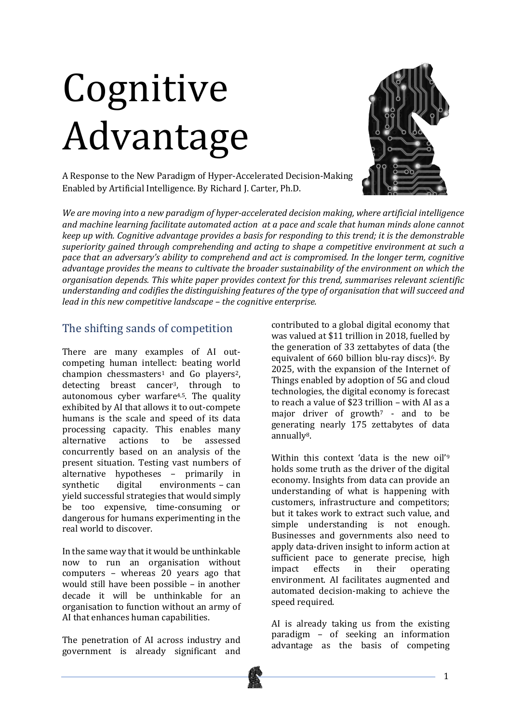# Cognitive Advantage

A Response to the New Paradigm of Hyper-Accelerated Decision-Making Enabled by Artificial Intelligence. By Richard J. Carter, Ph.D.



*We are moving into a new paradigm of hyper-accelerated decision making, where artificial intelligence and* machine learning facilitate automated action at a pace and scale that human minds alone cannot *keep* up with. Cognitive advantage provides a basis for responding to this trend; it is the demonstrable superiority gained through comprehending and acting to shape a competitive environment at such a pace that an adversary's ability to comprehend and act is compromised. In the longer term, cognitive *advantage provides the means to cultivate the broader sustainability of the environment on which the organisation depends. This white paper provides context for this trend, summarises relevant scientific* understanding and codifies the distinguishing features of the type of organisation that will succeed and *lead in this new competitive landscape - the cognitive enterprise.* 

## The shifting sands of competition

There are many examples of AI outcompeting human intellect: beating world champion chessmasters<sup>1</sup> and  $Go$  players<sup>2</sup>, detecting breast cancer<sup>3</sup>, through to autonomous cyber warfare $4,5$ . The quality exhibited by AI that allows it to out-compete humans is the scale and speed of its data processing capacity. This enables many alternative actions to be assessed concurrently based on an analysis of the present situation. Testing vast numbers of alternative hypotheses - primarily in synthetic digital environments  $-$  can yield successful strategies that would simply be too expensive, time-consuming or dangerous for humans experimenting in the real world to discover.

In the same way that it would be unthinkable now to run an organisation without computers – whereas 20 years ago that would still have been possible - in another decade it will be unthinkable for an organisation to function without an army of AI that enhances human capabilities.

The penetration of AI across industry and government is already significant and  contributed to a global digital economy that was valued at \$11 trillion in 2018, fuelled by the generation of 33 zettabytes of data (the equivalent of  $660$  billion blu-ray discs)<sup>6</sup>. By 2025, with the expansion of the Internet of Things enabled by adoption of 5G and cloud technologies, the digital economy is forecast to reach a value of  $$23$  trillion – with AI as a major driver of growth<sup>7</sup> - and to be generating nearly 175 zettabytes of data annually8.

Within this context 'data is the new oil'<sup>9</sup> holds some truth as the driver of the digital economy. Insights from data can provide an understanding of what is happening with customers, infrastructure and competitors; but it takes work to extract such value, and simple understanding is not enough. Businesses and governments also need to apply data-driven insight to inform action at sufficient pace to generate precise, high impact effects in their operating environment. AI facilitates augmented and automated decision-making to achieve the speed required.

AI is already taking us from the existing paradigm – of seeking an information advantage as the basis of competing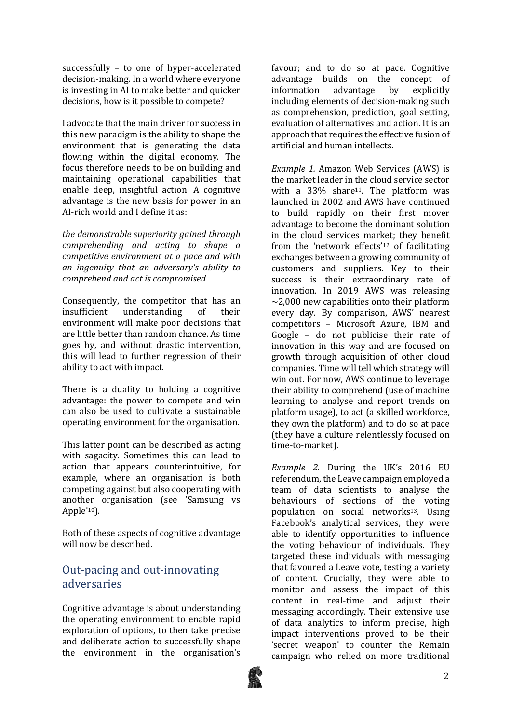successfully - to one of hyper-accelerated decision-making. In a world where everyone is investing in AI to make better and quicker decisions, how is it possible to compete?

I advocate that the main driver for success in this new paradigm is the ability to shape the environment that is generating the data flowing within the digital economy. The focus therefore needs to be on building and maintaining operational capabilities that enable deep, insightful action. A cognitive advantage is the new basis for power in an AI-rich world and I define it as:

the demonstrable superiority gained through *comprehending and acting to shape a competitive environment at a pace and with an ingenuity that an adversary's ability to comprehend and act is compromised*

Consequently, the competitor that has an insufficient understanding of their environment will make poor decisions that are little better than random chance. As time goes by, and without drastic intervention, this will lead to further regression of their ability to act with impact.

There is a duality to holding a cognitive advantage: the power to compete and win can also be used to cultivate a sustainable operating environment for the organisation.

This latter point can be described as acting with sagacity. Sometimes this can lead to action that appears counterintuitive, for example, where an organisation is both competing against but also cooperating with another organisation (see 'Samsung vs Apple'10).

Both of these aspects of cognitive advantage will now be described.

## Out-pacing and out-innovating adversaries

Cognitive advantage is about understanding the operating environment to enable rapid exploration of options, to then take precise and deliberate action to successfully shape the environment in the organisation's

favour; and to do so at pace. Cognitive advantage builds on the concept of information advantage by explicitly including elements of decision-making such as comprehension, prediction, goal setting, evaluation of alternatives and action. It is an approach that requires the effective fusion of artificial and human intellects.

*Example 1.* Amazon Web Services (AWS) is the market leader in the cloud service sector with a  $33\%$  share<sup>11</sup>. The platform was launched in 2002 and AWS have continued to build rapidly on their first mover advantage to become the dominant solution in the cloud services market; they benefit from the 'network effects'<sup>12</sup> of facilitating exchanges between a growing community of customers and suppliers. Key to their success is their extraordinary rate of innovation. In 2019 AWS was releasing  $\sim$ 2.000 new capabilities onto their platform every day. By comparison, AWS' nearest competitors - Microsoft Azure, IBM and Google  $-$  do not publicise their rate of innovation in this way and are focused on growth through acquisition of other cloud companies. Time will tell which strategy will win out. For now, AWS continue to leverage their ability to comprehend (use of machine learning to analyse and report trends on platform usage), to act (a skilled workforce, they own the platform) and to do so at pace (they have a culture relentlessly focused on time-to-market).

*Example 2.* During the UK's 2016 EU referendum, the Leave campaign employed a team of data scientists to analyse the behaviours of sections of the voting population on social networks<sup>13</sup>. Using Facebook's analytical services, they were able to identify opportunities to influence the voting behaviour of individuals. They targeted these individuals with messaging that favoured a Leave vote, testing a variety of content. Crucially, they were able to monitor and assess the impact of this content in real-time and adjust their messaging accordingly. Their extensive use of data analytics to inform precise, high impact interventions proved to be their 'secret weapon' to counter the Remain campaign who relied on more traditional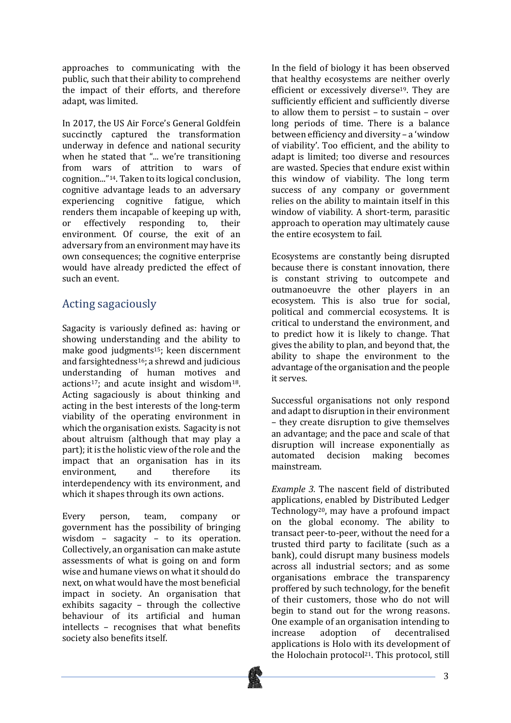approaches to communicating with the public, such that their ability to comprehend the impact of their efforts, and therefore adapt, was limited.

In 2017, the US Air Force's General Goldfein succinctly captured the transformation underway in defence and national security when he stated that "... we're transitioning from wars of attrition to wars of cognition..."<sup>14</sup>. Taken to its logical conclusion, cognitive advantage leads to an adversary experiencing cognitive fatigue, which renders them incapable of keeping up with, or effectively responding to, their environment. Of course, the exit of an adversary from an environment may have its own consequences; the cognitive enterprise would have already predicted the effect of such an event.

# Acting sagaciously

Sagacity is variously defined as: having or showing understanding and the ability to make good judgments<sup>15</sup>; keen discernment and farsightedness<sup>16</sup>; a shrewd and iudicious understanding of human motives and actions<sup>17</sup>; and acute insight and wisdom<sup>18</sup>. Acting sagaciously is about thinking and acting in the best interests of the long-term viability of the operating environment in which the organisation exists. Sagacity is not about altruism (although that may play a part); it is the holistic view of the role and the impact that an organisation has in its environment, and therefore its interdependency with its environment, and which it shapes through its own actions.

Every person, team, company or government has the possibility of bringing wisdom  $-$  sagacity  $-$  to its operation. Collectively, an organisation can make astute assessments of what is going on and form wise and humane views on what it should do next, on what would have the most beneficial impact in society. An organisation that exhibits sagacity  $-$  through the collective behaviour of its artificial and human  $intellects$  – recognises that what benefits society also benefits itself.

In the field of biology it has been observed that healthy ecosystems are neither overly efficient or excessively diverse<sup>19</sup>. They are sufficiently efficient and sufficiently diverse to allow them to persist  $-$  to sustain  $-$  over long periods of time. There is a balance between efficiency and diversity - a 'window of viability'. Too efficient, and the ability to adapt is limited; too diverse and resources are wasted. Species that endure exist within this window of viability. The long term success of any company or government relies on the ability to maintain itself in this window of viability. A short-term, parasitic approach to operation may ultimately cause the entire ecosystem to fail.

Ecosystems are constantly being disrupted because there is constant innovation, there is constant striving to outcompete and outmanoeuvre the other players in an ecosystem. This is also true for social, political and commercial ecosystems. It is critical to understand the environment, and to predict how it is likely to change. That gives the ability to plan, and beyond that, the ability to shape the environment to the advantage of the organisation and the people it serves.

Successful organisations not only respond and adapt to disruption in their environment – they create disruption to give themselves an advantage; and the pace and scale of that disruption will increase exponentially as automated decision making becomes mainstream.

*Example 3.* The nascent field of distributed applications, enabled by Distributed Ledger Technology<sup>20</sup>, may have a profound impact on the global economy. The ability to transact peer-to-peer, without the need for a trusted third party to facilitate (such as a bank), could disrupt many business models across all industrial sectors; and as some organisations embrace the transparency proffered by such technology, for the benefit of their customers, those who do not will begin to stand out for the wrong reasons. One example of an organisation intending to increase adoption of decentralised applications is Holo with its development of the Holochain protocol<sup>21</sup>. This protocol, still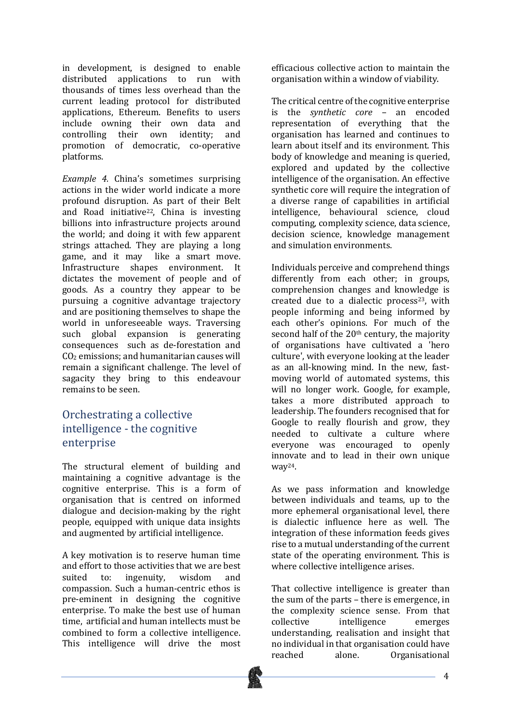in development, is designed to enable distributed applications to run with thousands of times less overhead than the current leading protocol for distributed applications, Ethereum. Benefits to users include owning their own data and controlling their own identity; and promotion of democratic, co-operative platforms.

*Example 4.* China's sometimes surprising actions in the wider world indicate a more profound disruption. As part of their Belt and Road initiative<sup>22</sup>, China is investing billions into infrastructure projects around the world; and doing it with few apparent strings attached. They are playing a long game, and it may like a smart move. Infrastructure shapes environment. It dictates the movement of people and of goods. As a country they appear to be pursuing a cognitive advantage trajectory and are positioning themselves to shape the world in unforeseeable ways. Traversing such global expansion is generating consequences such as de-forestation and  $CO<sub>2</sub>$  emissions; and humanitarian causes will remain a significant challenge. The level of sagacity they bring to this endeavour remains to be seen.

## Orchestrating a collective intelligence - the cognitive enterprise

The structural element of building and maintaining a cognitive advantage is the cognitive enterprise. This is a form of organisation that is centred on informed dialogue and decision-making by the right people, equipped with unique data insights and augmented by artificial intelligence.

A key motivation is to reserve human time and effort to those activities that we are best suited to: ingenuity, wisdom and compassion. Such a human-centric ethos is pre-eminent in designing the cognitive enterprise. To make the best use of human time, artificial and human intellects must be combined to form a collective intelligence. This intelligence will drive the most

efficacious collective action to maintain the organisation within a window of viability.

The critical centre of the cognitive enterprise is the *synthetic* core - an encoded representation of everything that the organisation has learned and continues to learn about itself and its environment. This body of knowledge and meaning is queried. explored and updated by the collective intelligence of the organisation. An effective synthetic core will require the integration of a diverse range of capabilities in artificial intelligence, behavioural science, cloud computing, complexity science, data science, decision science, knowledge management and simulation environments.

Individuals perceive and comprehend things differently from each other; in groups, comprehension changes and knowledge is created due to a dialectic process<sup>23</sup>, with people informing and being informed by each other's opinions. For much of the second half of the  $20<sup>th</sup>$  century, the majority of organisations have cultivated a 'hero culture', with everyone looking at the leader as an all-knowing mind. In the new, fastmoving world of automated systems, this will no longer work. Google, for example, takes a more distributed approach to leadership. The founders recognised that for Google to really flourish and grow, they needed to cultivate a culture where everyone was encouraged to openly innovate and to lead in their own unique way24.

As we pass information and knowledge between individuals and teams, up to the more ephemeral organisational level, there is dialectic influence here as well. The integration of these information feeds gives rise to a mutual understanding of the current state of the operating environment. This is where collective intelligence arises.

That collective intelligence is greater than the sum of the parts  $-$  there is emergence, in the complexity science sense. From that collective intelligence emerges understanding, realisation and insight that no individual in that organisation could have reached alone. Organisational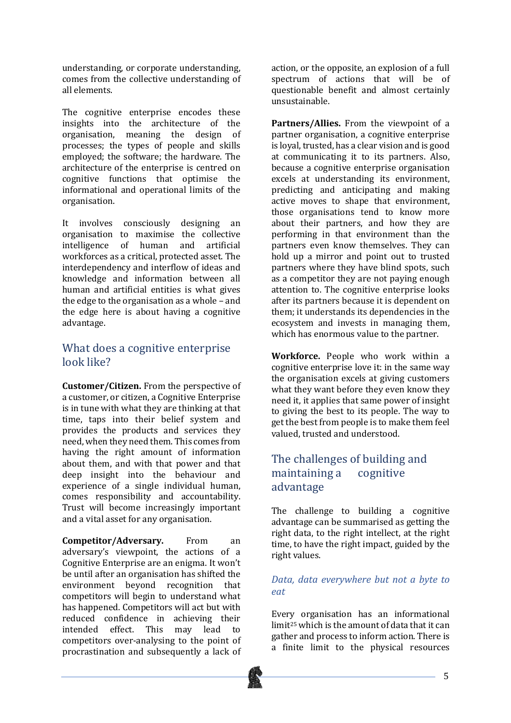understanding, or corporate understanding, comes from the collective understanding of all elements.

The cognitive enterprise encodes these insights into the architecture of the organisation, meaning the design of processes; the types of people and skills employed; the software: the hardware. The architecture of the enterprise is centred on cognitive functions that optimise the informational and operational limits of the organisation. 

It involves consciously designing an organisation to maximise the collective intelligence of human and artificial workforces as a critical, protected asset. The interdependency and interflow of ideas and knowledge and information between all human and artificial entities is what gives the edge to the organisation as a whole  $-$  and the edge here is about having a cognitive advantage.

## What does a cognitive enterprise look like?

**Customer/Citizen.** From the perspective of a customer, or citizen, a Cognitive Enterprise is in tune with what they are thinking at that time, taps into their belief system and provides the products and services they need, when they need them. This comes from having the right amount of information about them, and with that power and that deep insight into the behaviour and experience of a single individual human, comes responsibility and accountability. Trust will become increasingly important and a vital asset for any organisation.

**Competitor/Adversary.** From an adversary's viewpoint, the actions of a Cognitive Enterprise are an enigma. It won't be until after an organisation has shifted the environment beyond recognition that competitors will begin to understand what has happened. Competitors will act but with reduced confidence in achieving their intended effect. This may lead to competitors over-analysing to the point of procrastination and subsequently a lack of action, or the opposite, an explosion of a full spectrum of actions that will be of questionable benefit and almost certainly unsustainable.

**Partners/Allies.** From the viewpoint of a partner organisation, a cognitive enterprise is loyal, trusted, has a clear vision and is good at communicating it to its partners. Also, because a cognitive enterprise organisation excels at understanding its environment, predicting and anticipating and making active moves to shape that environment, those organisations tend to know more about their partners, and how they are performing in that environment than the partners even know themselves. They can hold up a mirror and point out to trusted partners where they have blind spots, such as a competitor they are not paying enough attention to. The cognitive enterprise looks after its partners because it is dependent on them; it understands its dependencies in the ecosystem and invests in managing them. which has enormous value to the partner.

**Workforce.** People who work within a cognitive enterprise love it: in the same way the organisation excels at giving customers what they want before they even know they need it, it applies that same power of insight to giving the best to its people. The way to get the best from people is to make them feel valued, trusted and understood.

## The challenges of building and maintaining a cognitive advantage

The challenge to building a cognitive advantage can be summarised as getting the right data, to the right intellect, at the right time, to have the right impact, guided by the right values.

#### *Data, data everywhere but not a byte to eat*

Every organisation has an informational limit<sup>25</sup> which is the amount of data that it can gather and process to inform action. There is a finite limit to the physical resources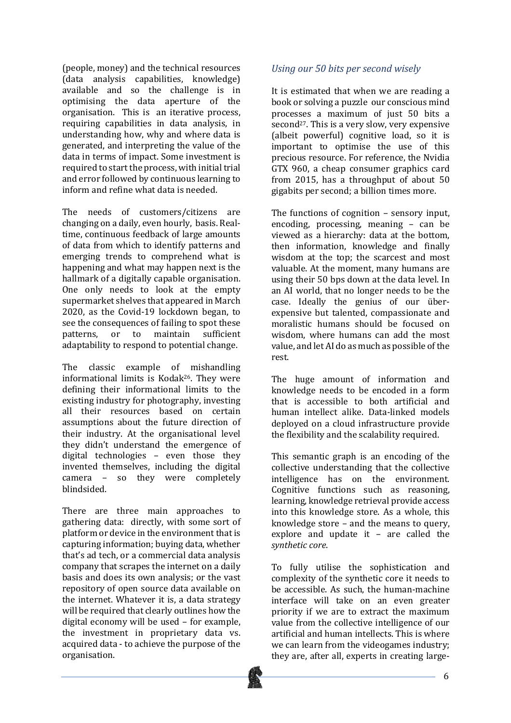(people, money) and the technical resources (data analysis capabilities, knowledge) available and so the challenge is in optimising the data aperture of the organisation. This is an iterative process, requiring capabilities in data analysis, in understanding how, why and where data is generated, and interpreting the value of the data in terms of impact. Some investment is required to start the process, with initial trial and error followed by continuous learning to inform and refine what data is needed.

The needs of customers/citizens are changing on a daily, even hourly, basis, Realtime, continuous feedback of large amounts of data from which to identify patterns and emerging trends to comprehend what is happening and what may happen next is the hallmark of a digitally capable organisation. One only needs to look at the empty supermarket shelves that appeared in March 2020, as the Covid-19 lockdown began, to see the consequences of failing to spot these patterns, or to maintain sufficient adaptability to respond to potential change.

The classic example of mishandling informational limits is Kodak<sup>26</sup>. They were defining their informational limits to the existing industry for photography, investing all their resources based on certain assumptions about the future direction of their industry. At the organisational level they didn't understand the emergence of digital technologies  $-$  even those they invented themselves, including the digital camera - so they were completely blindsided.

There are three main approaches to gathering data: directly, with some sort of platform or device in the environment that is capturing information; buying data, whether that's ad tech, or a commercial data analysis company that scrapes the internet on a daily basis and does its own analysis; or the vast repository of open source data available on the internet. Whatever it is, a data strategy will be required that clearly outlines how the digital economy will be used - for example, the investment in proprietary data vs. acquired data - to achieve the purpose of the organisation.

#### *Using our 50 bits per second wisely*

It is estimated that when we are reading a book or solving a puzzle our conscious mind processes a maximum of just 50 bits a second<sup>27</sup>. This is a very slow, very expensive (albeit powerful) cognitive load, so it is important to optimise the use of this precious resource. For reference, the Nvidia GTX 960, a cheap consumer graphics card from 2015, has a throughput of about  $50$ gigabits per second; a billion times more.

The functions of cognition  $-$  sensory input, encoding, processing, meaning  $-$  can be viewed as a hierarchy: data at the bottom, then information, knowledge and finally wisdom at the top; the scarcest and most valuable. At the moment, many humans are using their 50 bps down at the data level. In an AI world, that no longer needs to be the case. Ideally the genius of our überexpensive but talented, compassionate and moralistic humans should be focused on wisdom, where humans can add the most value, and let AI do as much as possible of the rest. 

The huge amount of information and knowledge needs to be encoded in a form that is accessible to both artificial and human intellect alike. Data-linked models deployed on a cloud infrastructure provide the flexibility and the scalability required.

This semantic graph is an encoding of the collective understanding that the collective intelligence has on the environment. Cognitive functions such as reasoning, learning, knowledge retrieval provide access into this knowledge store. As a whole, this knowledge store  $-$  and the means to query, explore and update it  $-$  are called the *synthetic core*.

To fully utilise the sophistication and complexity of the synthetic core it needs to be accessible. As such, the human-machine interface will take on an even greater priority if we are to extract the maximum value from the collective intelligence of our artificial and human intellects. This is where we can learn from the videogames industry; they are, after all, experts in creating large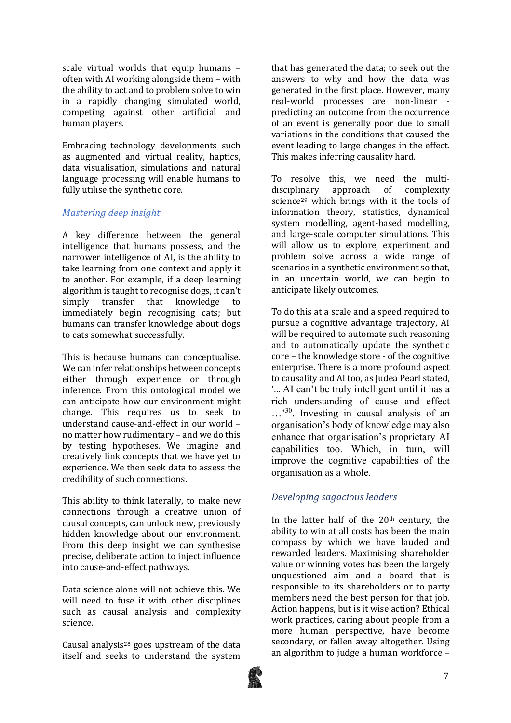scale virtual worlds that equip humans often with AI working alongside them - with the ability to act and to problem solve to win in a rapidly changing simulated world, competing against other artificial and human players.

Embracing technology developments such as augmented and virtual reality, haptics, data visualisation, simulations and natural language processing will enable humans to fully utilise the synthetic core.

#### *Mastering deep insight*

A key difference between the general intelligence that humans possess, and the narrower intelligence of AI, is the ability to take learning from one context and apply it to another. For example, if a deep learning algorithm is taught to recognise dogs, it can't simply transfer that knowledge immediately begin recognising cats; but humans can transfer knowledge about dogs to cats somewhat successfully.

This is because humans can conceptualise. We can infer relationships between concepts either through experience or through inference. From this ontological model we can anticipate how our environment might change. This requires us to seek to understand cause-and-effect in our world no matter how rudimentary - and we do this by testing hypotheses. We imagine and creatively link concepts that we have yet to experience. We then seek data to assess the credibility of such connections.

This ability to think laterally, to make new connections through a creative union of causal concepts, can unlock new, previously hidden knowledge about our environment. From this deep insight we can synthesise precise, deliberate action to inject influence into cause-and-effect pathways.

Data science alone will not achieve this. We will need to fuse it with other disciplines such as causal analysis and complexity science. 

Causal analysis<sup>28</sup> goes upstream of the data itself and seeks to understand the system that has generated the data; to seek out the answers to why and how the data was generated in the first place. However, many real-world processes are non-linear predicting an outcome from the occurrence of an event is generally poor due to small variations in the conditions that caused the event leading to large changes in the effect. This makes inferring causality hard.

To resolve this, we need the multidisciplinary approach of complexity science<sup>29</sup> which brings with it the tools of information theory, statistics, dynamical system modelling, agent-based modelling, and large-scale computer simulations. This will allow us to explore, experiment and problem solve across a wide range of scenarios in a synthetic environment so that. in an uncertain world, we can begin to anticipate likely outcomes.

To do this at a scale and a speed required to pursue a cognitive advantage trajectory, AI will be required to automate such reasoning and to automatically update the synthetic core - the knowledge store - of the cognitive enterprise. There is a more profound aspect to causality and AI too, as Judea Pearl stated, '… AI can't be truly intelligent until it has a rich understanding of cause and effect …'30. Investing in causal analysis of an organisation's body of knowledge may also enhance that organisation's proprietary AI capabilities too. Which, in turn, will improve the cognitive capabilities of the organisation as a whole.

#### *Developing sagacious leaders*

In the latter half of the  $20<sup>th</sup>$  century, the ability to win at all costs has been the main compass by which we have lauded and rewarded leaders. Maximising shareholder value or winning votes has been the largely unquestioned aim and a board that is responsible to its shareholders or to party members need the best person for that *job*. Action happens, but is it wise action? Ethical work practices, caring about people from a more human perspective, have become secondary, or fallen away altogether. Using an algorithm to judge a human workforce  $-$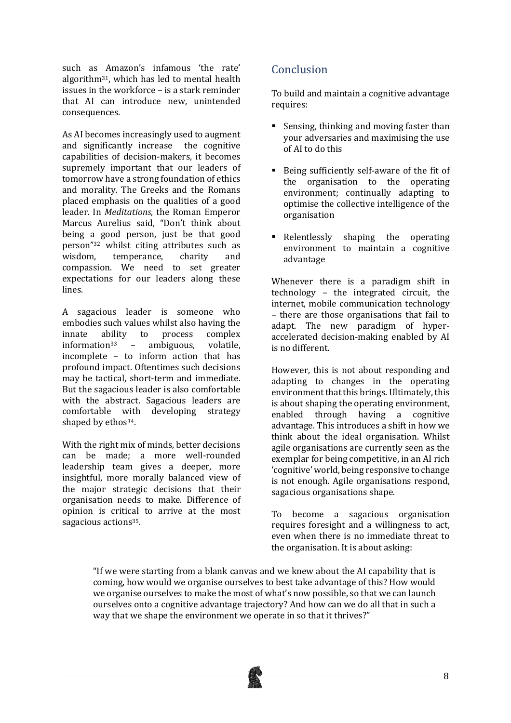such as Amazon's infamous 'the rate' algorithm<sup>31</sup>, which has led to mental health issues in the workforce  $-$  is a stark reminder that AI can introduce new unintended consequences. 

As AI becomes increasingly used to augment and significantly increase the cognitive capabilities of decision-makers, it becomes supremely important that our leaders of tomorrow have a strong foundation of ethics and morality. The Greeks and the Romans placed emphasis on the qualities of a good leader. In *Meditations*, the Roman Emperor Marcus Aurelius said, "Don't think about being a good person, just be that good person"<sup>32</sup> whilst citing attributes such as wisdom, temperance, charity and compassion. We need to set greater expectations for our leaders along these lines.

A sagacious leader is someone who embodies such values whilst also having the innate ability to process complex  $information^{33}$  – ambiguous, volatile, incomplete  $-$  to inform action that has profound impact. Oftentimes such decisions may be tactical, short-term and immediate. But the sagacious leader is also comfortable with the abstract. Sagacious leaders are comfortable with developing strategy shaped by ethos<sup>34</sup>.

With the right mix of minds, better decisions can be made; a more well-rounded leadership team gives a deeper, more insightful, more morally balanced view of the major strategic decisions that their organisation needs to make. Difference of opinion is critical to arrive at the most sagacious actions<sup>35</sup>.

# Conclusion

To build and maintain a cognitive advantage requires:

- Sensing, thinking and moving faster than your adversaries and maximising the use  $of AI to do this$
- Being sufficiently self-aware of the fit of the organisation to the operating environment; continually adapting to optimise the collective intelligence of the organisation
- Relentlessly shaping the operating environment to maintain a cognitive advantage

Whenever there is a paradigm shift in  $technology - the integrated circuit, the$ internet, mobile communication technology  $-$  there are those organisations that fail to adapt. The new paradigm of hyperaccelerated decision-making enabled by AI is no different

However, this is not about responding and adapting to changes in the operating environment that this brings. Ultimately, this is about shaping the operating environment, enabled through having a cognitive advantage. This introduces a shift in how we think about the ideal organisation. Whilst agile organisations are currently seen as the exemplar for being competitive, in an AI rich 'cognitive' world, being responsive to change is not enough. Agile organisations respond, sagacious organisations shape.

To become a sagacious organisation requires foresight and a willingness to act. even when there is no immediate threat to the organisation. It is about asking:

"If we were starting from a blank canvas and we knew about the AI capability that is coming, how would we organise ourselves to best take advantage of this? How would we organise ourselves to make the most of what's now possible, so that we can launch ourselves onto a cognitive advantage trajectory? And how can we do all that in such a way that we shape the environment we operate in so that it thrives?"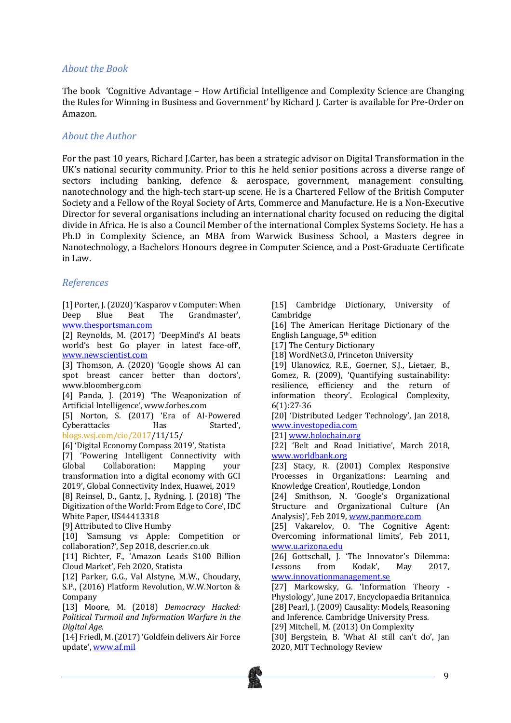#### *About the Book*

The book 'Cognitive Advantage – How Artificial Intelligence and Complexity Science are Changing the Rules for Winning in Business and Government' by Richard J. Carter is available for Pre-Order on Amazon. 

#### *About the Author*

For the past 10 years, Richard I.Carter, has been a strategic advisor on Digital Transformation in the UK's national security community. Prior to this he held senior positions across a diverse range of sectors including banking, defence  $\&$  aerospace, government, management consulting, nanotechnology and the high-tech start-up scene. He is a Chartered Fellow of the British Computer Society and a Fellow of the Royal Society of Arts, Commerce and Manufacture. He is a Non-Executive Director for several organisations including an international charity focused on reducing the digital divide in Africa. He is also a Council Member of the international Complex Systems Society. He has a Ph.D in Complexity Science, an MBA from Warwick Business School, a Masters degree in Nanotechnology, a Bachelors Honours degree in Computer Science, and a Post-Graduate Certificate in Law.

#### *References*

[1] Porter, J. (2020) 'Kasparov v Computer: When Deep Blue Beat The Grandmaster', www.thesportsman.com

[2] Reynolds, M. (2017) 'DeepMind's AI beats world's best Go player in latest face-off', www.newscientist.com

 $\overline{[3]}$  Thomson, A.  $(2020)$  'Google shows AI can spot breast cancer better than doctors', www.bloomberg.com

[4] Panda, J. (2019) 'The Weaponization of Artificial Intelligence', www.forbes.com

[5] Norton, S. (2017) 'Era of AI-Powered Cyberattacks Has Started', blogs.wsj.com/cio/2017/11/15/

[6] 'Digital Economy Compass 2019', Statista

[7] 'Powering Intelligent Connectivity with Global Collaboration: Mapping your transformation into a digital economy with GCI 2019', Global Connectivity Index, Huawei, 2019 [8] Reinsel, D., Gantz, J., Rydning, J.  $(2018)$  'The Digitization of the World: From Edge to Core', IDC White Paper, US44413318

[9] Attributed to Clive Humby

[10] 'Samsung vs Apple: Competition or collaboration?', Sep 2018, descrier.co.uk

[11] Richter, F., 'Amazon Leads \$100 Billion Cloud Market', Feb 2020, Statista

[12] Parker, G.G., Val Alstyne, M.W., Choudary, S.P., (2016) Platform Revolution, W.W.Norton & Company

[13] Moore, M. (2018) *Democracy Hacked: Political Turmoil and Information Warfare in the Digital Age*.

[14] Friedl, M. (2017) 'Goldfein delivers Air Force update', www.af.mil

[15] Cambridge Dictionary, University of Cambridge

[16] The American Heritage Dictionary of the English Language, 5th edition

[17] The Century Dictionary

[18] WordNet3.0, Princeton University

[19] Ulanowicz, R.E., Goerner, S.J., Lietaer, B., Gomez, R. (2009), 'Quantifying sustainability: resilience, efficiency and the return of information theory'. Ecological Complexity, 6(1):27-36

[20] 'Distributed Ledger Technology', Jan 2018, www.investopedia.com

[21] www.holochain.org

[22] 'Belt and Road Initiative', March 2018, www.worldbank.org

[23] Stacy, R. (2001) Complex Responsive Processes in Organizations: Learning and Knowledge Creation', Routledge, London

[24] Smithson, N. 'Google's Organizational Structure and Organizational Culture (An Analysis)', Feb 2019, www.panmore.com

[25] Vakarelov, O. 'The Cognitive Agent: Overcoming informational limits', Feb 2011, www.u.arizona.edu

[26] Gottschall, J. 'The Innovator's Dilemma: Lessons from Kodak', May 2017, www.innovationmanagement.se

[27] Markowsky, G. 'Information Theory -Physiology', June 2017, Encyclopaedia Britannica [28] Pearl, J. (2009) Causality: Models, Reasoning and Inference. Cambridge University Press.

[29] Mitchell, M. (2013) On Complexity

[30] Bergstein, B. 'What AI still can't do', Jan 2020, MIT Technology Review